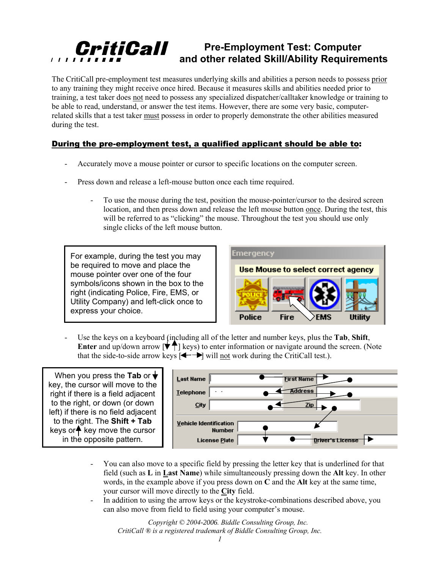## CritiCall **Pre-Employment Test: Computer and other related Skill/Ability Requirements**

The CritiCall pre-employment test measures underlying skills and abilities a person needs to possess prior to any training they might receive once hired. Because it measures skills and abilities needed prior to training, a test taker does not need to possess any specialized dispatcher/calltaker knowledge or training to be able to read, understand, or answer the test items. However, there are some very basic, computerrelated skills that a test taker must possess in order to properly demonstrate the other abilities measured during the test.

## During the pre-employment test, a qualified applicant should be able to:

- Accurately move a mouse pointer or cursor to specific locations on the computer screen.
- Press down and release a left-mouse button once each time required.
	- To use the mouse during the test, position the mouse-pointer/cursor to the desired screen location, and then press down and release the left mouse button once. During the test, this will be referred to as "clicking" the mouse. Throughout the test you should use only single clicks of the left mouse button.

For example, during the test you may be required to move and place the mouse pointer over one of the four symbols/icons shown in the box to the right (indicating Police, Fire, EMS, or Utility Company) and left-click once to express your choice.



- Use the keys on a keyboard (including all of the letter and number keys, plus the **Tab**, **Shift**, **Enter** and up/down arrow  $\vec{r}$  | keys) to enter information or navigate around the screen. (Note that the side-to-side arrow keys  $\left[ \leftarrow \right]$  will <u>not</u> work during the CritiCall test.).

When you press the **Tab** or key, the cursor will move to the right if there is a field adjacent to the right, or down (or down left) if there is no field adjacent to the right. The **Shift + Tab** keys or $\bigwedge$  key move the cursor in the opposite pattern.



- You can also move to a specific field by pressing the letter key that is underlined for that field (such as **L** in **Last Name**) while simultaneously pressing down the **Alt** key. In other words, in the example above if you press down on **C** and the **Alt** key at the same time, your cursor will move directly to the **City** field.
- In addition to using the arrow keys or the keystroke-combinations described above, you can also move from field to field using your computer's mouse.

*Copyright © 2004-2006. Biddle Consulting Group, Inc. CritiCall ® is a registered trademark of Biddle Consulting Group, Inc.*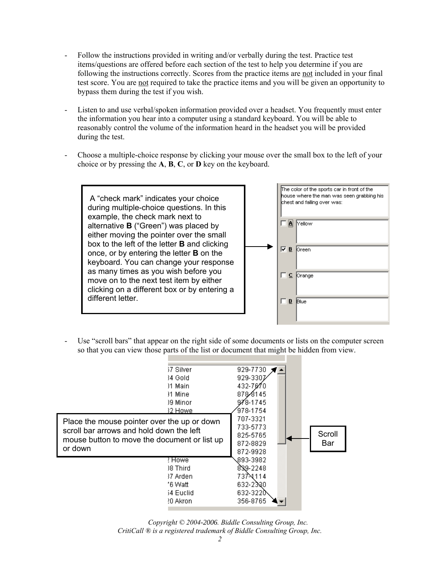- Follow the instructions provided in writing and/or verbally during the test. Practice test items/questions are offered before each section of the test to help you determine if you are following the instructions correctly. Scores from the practice items are not included in your final test score. You are not required to take the practice items and you will be given an opportunity to bypass them during the test if you wish.
- Listen to and use verbal/spoken information provided over a headset. You frequently must enter the information you hear into a computer using a standard keyboard. You will be able to reasonably control the volume of the information heard in the headset you will be provided during the test.
- Choose a multiple-choice response by clicking your mouse over the small box to the left of your choice or by pressing the **A**, **B**, **C**, or **D** key on the keyboard.

 A "check mark" indicates your choice during multiple-choice questions. In this example, the check mark next to alternative **B** ("Green") was placed by either moving the pointer over the small box to the left of the letter **B** and clicking once, or by entering the letter **B** on the keyboard. You can change your response as many times as you wish before you move on to the next test item by either clicking on a different box or by entering a different letter.



Use "scroll bars" that appear on the right side of some documents or lists on the computer screen so that you can view those parts of the list or document that might be hidden from view.

|                                              | 37 Silver | 929-7730 |        |
|----------------------------------------------|-----------|----------|--------|
|                                              | 34 Gold   | 929-3307 |        |
|                                              | )1 Main   | 432-7070 |        |
|                                              | 31 Mine   | 87848145 |        |
|                                              | 19 Minor  | 978-1745 |        |
|                                              | 32 Howe   | 978-1754 |        |
| Place the mouse pointer over the up or down  |           | 707-3321 |        |
| scroll bar arrows and hold down the left     |           | 733-5773 |        |
| mouse button to move the document or list up |           | 825-5765 | Scroll |
| or down                                      |           | 872-8829 | Bar    |
|                                              |           | 872-9928 |        |
|                                              | ! Howe    | 893-3982 |        |
|                                              | 18 Third  | 839-2248 |        |
|                                              | 37 Arden. | 737-4114 |        |
|                                              | '6 Watt   | 632-2380 |        |
|                                              | 54 Euclid | 632-3220 |        |
|                                              | ?0 Akroni | 356-8765 |        |
|                                              |           |          |        |

*Copyright © 2004-2006. Biddle Consulting Group, Inc. CritiCall ® is a registered trademark of Biddle Consulting Group, Inc.*